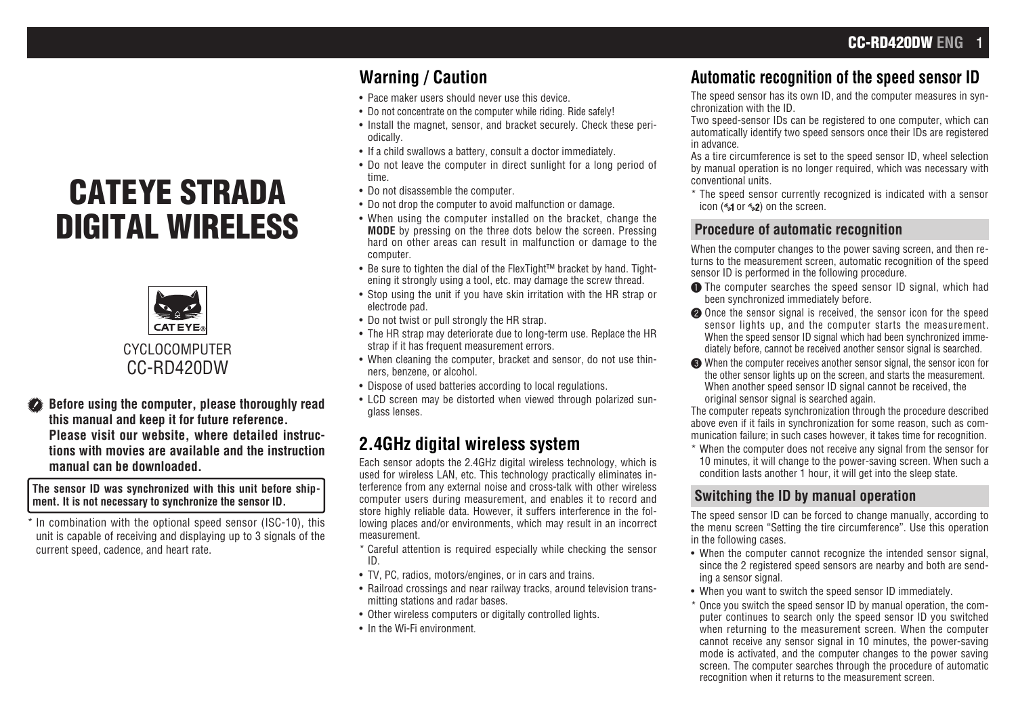# CATEYE STRADA DIGITAL WIRELESS



**Before using the computer, please thoroughly read this manual and keep it for future reference. Please visit our website, where detailed instructions with movies are available and the instruction manual can be downloaded.**

#### **The sensor ID was synchronized with this unit before shipment. It is not necessary to synchronize the sensor ID.**

\* In combination with the optional speed sensor (ISC-10), this unit is capable of receiving and displaying up to 3 signals of the current speed, cadence, and heart rate.

## **Warning / Caution**

- Pace maker users should never use this device.
- Do not concentrate on the computer while riding. Ride safely!
- Install the magnet, sensor, and bracket securely. Check these periodically.
- If a child swallows a battery, consult a doctor immediately.
- Do not leave the computer in direct sunlight for a long period of time.
- Do not disassemble the computer.
- Do not drop the computer to avoid malfunction or damage.
- When using the computer installed on the bracket, change the **MODE** by pressing on the three dots below the screen. Pressing hard on other areas can result in malfunction or damage to the computer.
- Be sure to tighten the dial of the FlexTight™ bracket by hand. Tightening it strongly using a tool, etc. may damage the screw thread.
- Stop using the unit if you have skin irritation with the HR strap or electrode pad.
- Do not twist or pull strongly the HR strap.
- The HR strap may deteriorate due to long-term use. Replace the HR strap if it has frequent measurement errors.
- When cleaning the computer, bracket and sensor, do not use thinners, benzene, or alcohol.
- Dispose of used batteries according to local regulations.
- LCD screen may be distorted when viewed through polarized sunglass lenses.

## **2.4GHz digital wireless system**

Each sensor adopts the 2.4GHz digital wireless technology, which is used for wireless LAN, etc. This technology practically eliminates interference from any external noise and cross-talk with other wireless computer users during measurement, and enables it to record and store highly reliable data. However, it suffers interference in the following places and/or environments, which may result in an incorrect measurement.

- \* Careful attention is required especially while checking the sensor ID.
- TV, PC, radios, motors/engines, or in cars and trains.
- Railroad crossings and near railway tracks, around television transmitting stations and radar bases.
- Other wireless computers or digitally controlled lights.
- In the Wi-Fi environment.

## **Automatic recognition of the speed sensor ID**

The speed sensor has its own ID, and the computer measures in synchronization with the ID.

Two speed-sensor IDs can be registered to one computer, which can automatically identify two speed sensors once their IDs are registered in advance.

As a tire circumference is set to the speed sensor ID, wheel selection by manual operation is no longer required, which was necessary with conventional units.

\* The speed sensor currently recognized is indicated with a sensor icon ( $\leq 1$  or  $\leq 2$ ) on the screen.

## **Procedure of automatic recognition**

When the computer changes to the power saving screen, and then returns to the measurement screen, automatic recognition of the speed sensor ID is performed in the following procedure.

- **1** The computer searches the speed sensor ID signal, which had been synchronized immediately before.
- **2** Once the sensor signal is received, the sensor icon for the speed sensor lights up, and the computer starts the measurement. When the speed sensor ID signal which had been synchronized immediately before, cannot be received another sensor signal is searched.
- 3 When the computer receives another sensor signal, the sensor icon for the other sensor lights up on the screen, and starts the measurement. When another speed sensor ID signal cannot be received, the original sensor signal is searched again.

The computer repeats synchronization through the procedure described above even if it fails in synchronization for some reason, such as communication failure; in such cases however, it takes time for recognition.

\* When the computer does not receive any signal from the sensor for 10 minutes, it will change to the power-saving screen. When such a condition lasts another 1 hour, it will get into the sleep state.

## **Switching the ID by manual operation**

The speed sensor ID can be forced to change manually, according to the menu screen "Setting the tire circumference". Use this operation in the following cases.

- When the computer cannot recognize the intended sensor signal, since the 2 registered speed sensors are nearby and both are sending a sensor signal.
- When you want to switch the speed sensor ID immediately.
- \* Once you switch the speed sensor ID by manual operation, the computer continues to search only the speed sensor ID you switched when returning to the measurement screen. When the computer cannot receive any sensor signal in 10 minutes, the power-saving mode is activated, and the computer changes to the power saving screen. The computer searches through the procedure of automatic recognition when it returns to the measurement screen.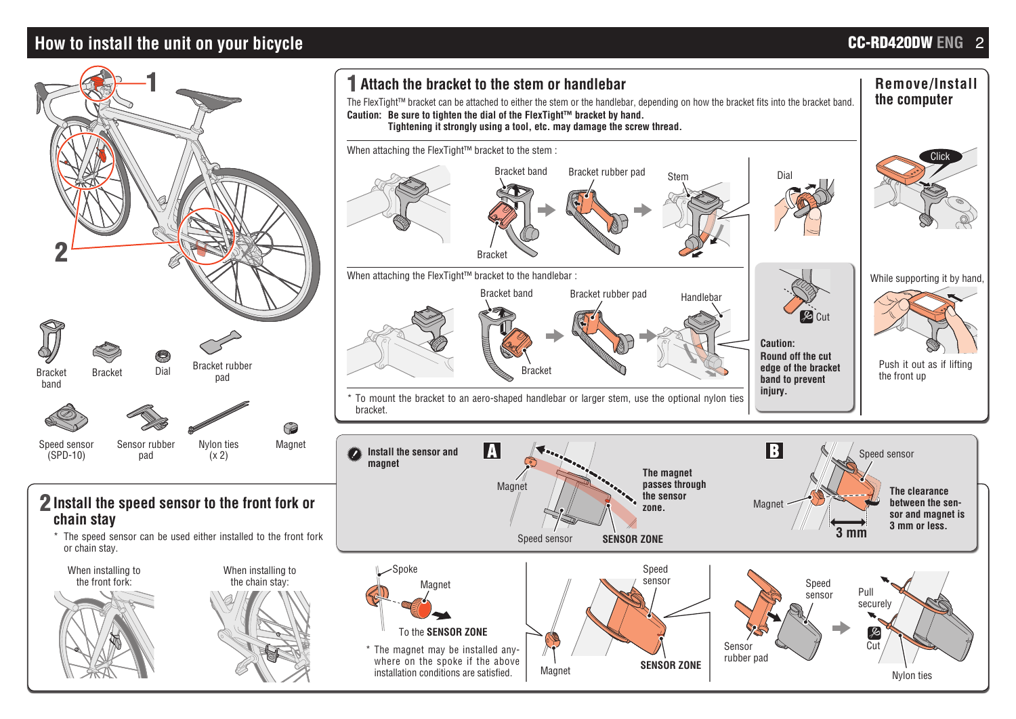## **How to install the unit on your bicycle** CC-RD420DW ENG 2

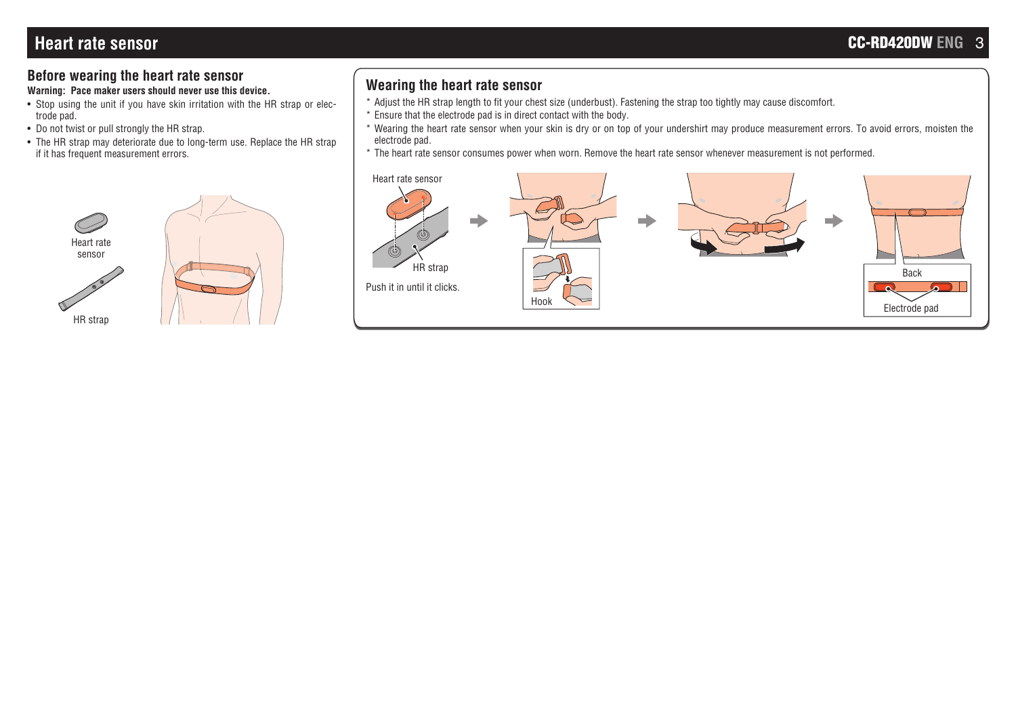## **Before wearing the heart rate sensor**

**Warning: Pace maker users should never use this device.**

- Stop using the unit if you have skin irritation with the HR strap or electrode pad.
- Do not twist or pull strongly the HR strap.
- The HR strap may deteriorate due to long-term use. Replace the HR strap if it has frequent measurement errors.



## **Wearing the heart rate sensor**

- \* Adjust the HR strap length to fit your chest size (underbust). Fastening the strap too tightly may cause discomfort.
- \* Ensure that the electrode pad is in direct contact with the body.
- \* Wearing the heart rate sensor when your skin is dry or on top of your undershirt may produce measurement errors. To avoid errors, moisten the electrode pad.
- \* The heart rate sensor consumes power when worn. Remove the heart rate sensor whenever measurement is not performed.

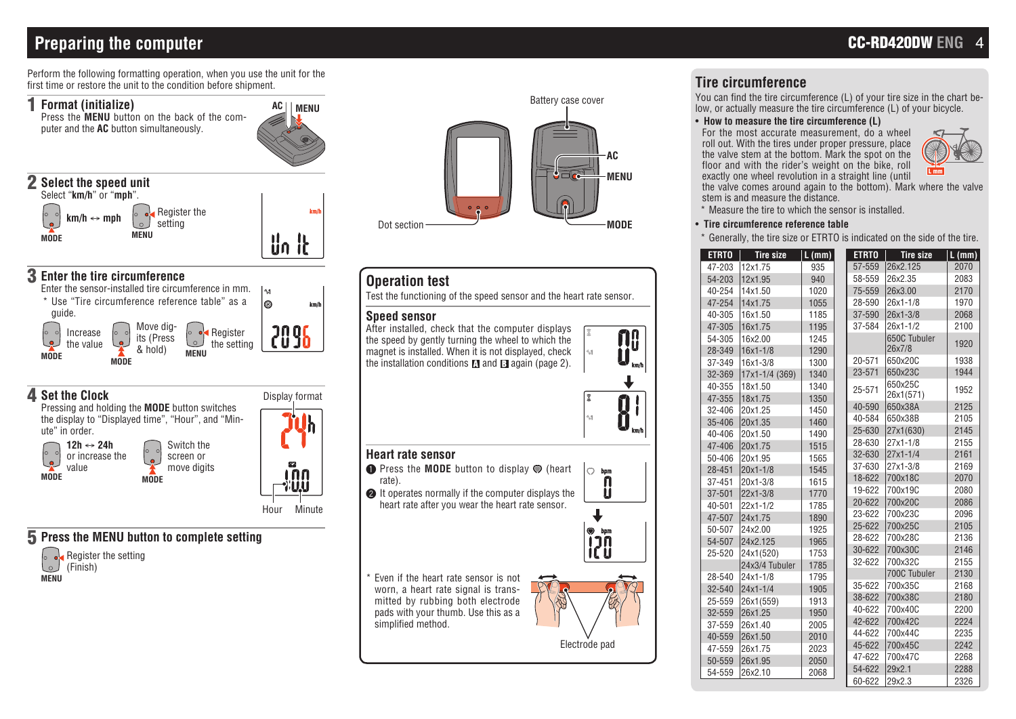## **Preparing the computer**

Perform the following formatting operation, when you use the unit for the first time or restore the unit to the condition before shipment.



### 4 **Set the Clock**

Pressing and holding the **MODE** button switches the display to "Displayed time", "Hour", and "Minute" in order. Switch the



**12h** ↔ **24h** or increase the move digits កោព I'UU

Display format

h

Hour Minute

52

### 5 **Press the MENU button to complete setting**

**MODE**

 $\bullet$ 

screen or





## **Operation test**

Test the functioning of the speed sensor and the heart rate sensor.

#### **Speed sensor**

After installed, check that the computer displays the speed by gently turning the wheel to which the magnet is installed. When it is not displayed, check the installation conditions  $\blacksquare$  and  $\blacksquare$  again (page 2).



#### **Heart rate sensor**

- **1** Press the **MODE** button to display  $\odot$  (heart lo rate).
- **2** It operates normally if the computer displays the heart rate after you wear the heart rate sensor.



bom

Even if the heart rate sensor is not worn, a heart rate signal is transmitted by rubbing both electrode pads with your thumb. Use this as a simplified method.



Electrode pad

## **Tire circumference**

You can find the tire circumference (L) of your tire size in the chart below, or actually measure the tire circumference (L) of your bicycle.

#### • **How to measure the tire circumference (L)**

For the most accurate measurement, do a wheel roll out. With the tires under proper pressure, place the valve stem at the bottom. Mark the spot on the floor and with the rider's weight on the bike, roll exactly one wheel revolution in a straight line (until



the valve comes around again to the bottom). Mark where the valve stem is and measure the distance.

\* Measure the tire to which the sensor is installed.

#### • **Tire circumference reference table**

\* Generally, the tire size or ETRTO is indicated on the side of the tire.

| <b>ETRTO</b> | <b>Tire size</b> | L (mm) | <b>ETRTO</b> | $\overline{\phantom{a}}$ Tire size | L(mm) |
|--------------|------------------|--------|--------------|------------------------------------|-------|
| 47-203       | 12x1.75          | 935    | 57-559       | 26x2.125                           | 2070  |
| 54-203       | 12x1.95          | 940    | 58-559       | 26x2.35                            | 2083  |
| 40-254       | 14x1.50          | 1020   | 75-559       | 26x3.00                            | 2170  |
| 47-254       | 14x1.75          | 1055   | 28-590       | $26x1 - 1/8$                       | 1970  |
| 40-305       | 16x1.50          | 1185   | 37-590       | $26x1 - 3/8$                       | 2068  |
| 47-305       | 16x1.75          | 1195   | 37-584       | $26x1 - 1/2$                       | 2100  |
| 54-305       | 16x2.00          | 1245   |              | 650C Tubuler                       | 1920  |
| 28-349       | 16x1-1/8         | 1290   |              | 26x7/8                             |       |
| 37-349       | 16x1-3/8         | 1300   | 20-571       | 650x20C                            | 1938  |
| 32-369       | 17x1-1/4 (369)   | 1340   | 23-571       | 650x23C                            | 1944  |
| 40-355       | 18x1.50          | 1340   | 25-571       | 650x25C                            | 1952  |
| 47-355       | 18x1.75          | 1350   |              | 26x1(571)                          |       |
| 32-406       | 20x1.25          | 1450   | 40-590       | 650x38A                            | 2125  |
| 35-406       | 20x1.35          | 1460   | 40-584       | 650x38B                            | 2105  |
| 40-406       | 20x1.50          | 1490   | 25-630       | 27x1(630)                          | 2145  |
| 47-406       | 20x1.75          | 1515   | 28-630       | 27x1-1/8                           | 2155  |
| 50-406       | 20x1.95          | 1565   | 32-630       | $27x1 - 1/4$                       | 2161  |
| 28-451       | 20x1-1/8         | 1545   | 37-630       | 27x1-3/8                           | 2169  |
| 37-451       | 20x1-3/8         | 1615   | 18-622       | 700x18C                            | 2070  |
| 37-501       | 22x1-3/8         | 1770   | 19-622       | 700x19C                            | 2080  |
| 40-501       | $22x1 - 1/2$     | 1785   | 20-622       | 700x20C                            | 2086  |
| 47-507       | 24x1.75          | 1890   | 23-622       | 700x23C                            | 2096  |
| 50-507       | 24x2.00          | 1925   | 25-622       | 700x25C                            | 2105  |
| 54-507       | 24x2.125         | 1965   | 28-622       | 700x28C                            | 2136  |
| 25-520       | 24x1(520)        | 1753   | 30-622       | 700x30C                            | 2146  |
|              | 24x3/4 Tubuler   | 1785   | 32-622       | 700x32C                            | 2155  |
| 28-540       | $24x1 - 1/8$     | 1795   |              | 700C Tubuler                       | 2130  |
| 32-540       | $24x1 - 1/4$     | 1905   | 35-622       | 700x35C                            | 2168  |
| 25-559       | 26x1(559)        | 1913   | 38-622       | 700x38C                            | 2180  |
| 32-559       | 26x1.25          | 1950   | 40-622       | 700x40C                            | 2200  |
| 37-559       | 26x1.40          | 2005   | 42-622       | 700x42C                            | 2224  |
| 40-559       | 26x1.50          | 2010   | 44-622       | 700x44C                            | 2235  |
| 47-559       | 26x1.75          | 2023   | 45-622       | 700x45C                            | 2242  |
| 50-559       | 26x1.95          | 2050   | 47-622       | 700x47C                            | 2268  |
| 54-559       | 26x2.10          | 2068   | 54-622       | 29x2.1                             | 2288  |
|              |                  |        | 60-622       | 29x2.3                             | 2326  |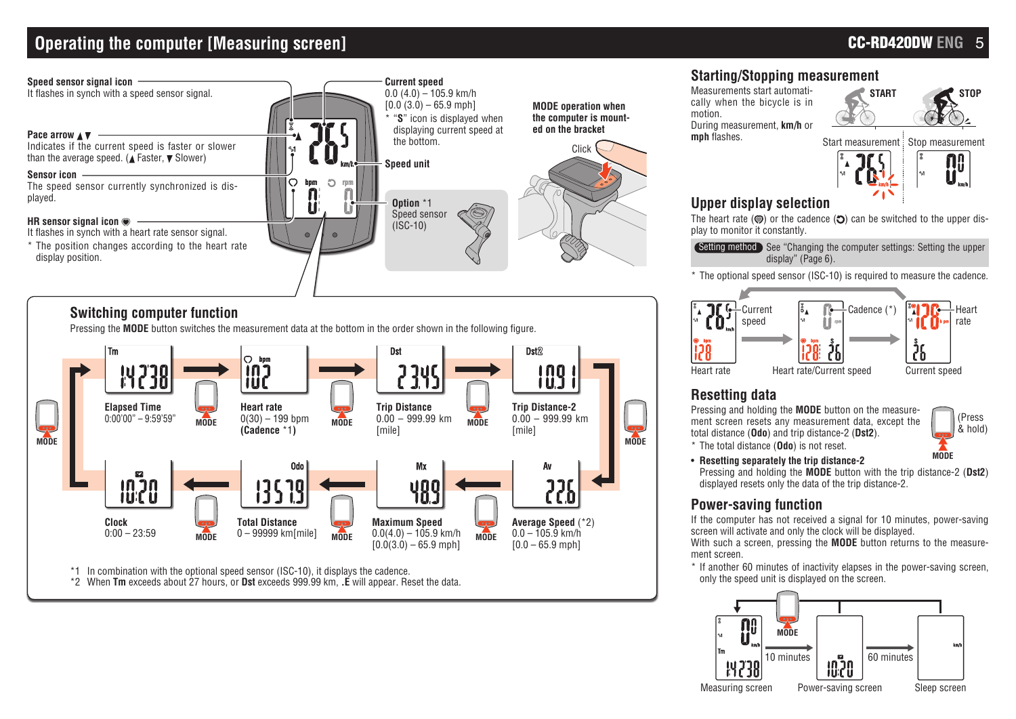## **Operating the computer [Measuring screen]**



### **Switching computer function**

Pressing the **MODE** button switches the measurement data at the bottom in the order shown in the following figure.



\*2 When **Tm** exceeds about 27 hours, or **Dst** exceeds 999.99 km, **.E** will appear. Reset the data.

## **Starting/Stopping measurement**

Measurements start automatically when the bicycle is in motion. During measurement, **km/h** or **mph** flashes.

**START STOP**



## **Upper display selection**

The heart rate ( $\odot$ ) or the cadence ( $\odot$ ) can be switched to the upper display to monitor it constantly.

**Setting method** See "Changing the computer settings: Setting the upper display" (Page 6).

\* The optional speed sensor (ISC-10) is required to measure the cadence.



### **Resetting data**

Pressing and holding the **MODE** button on the measurement screen resets any measurement data, except the total distance (**Odo**) and trip distance-2 (**Dst2**).



\* The total distance (**Odo**) is not reset. • **Resetting separately the trip distance-2**

Pressing and holding the **MODE** button with the trip distance-2 (**Dst2**) displayed resets only the data of the trip distance-2.

### **Power-saving function**

If the computer has not received a signal for 10 minutes, power-saving screen will activate and only the clock will be displayed.

With such a screen, pressing the **MODE** button returns to the measurement screen.

\* If another 60 minutes of inactivity elapses in the power-saving screen, only the speed unit is displayed on the screen.

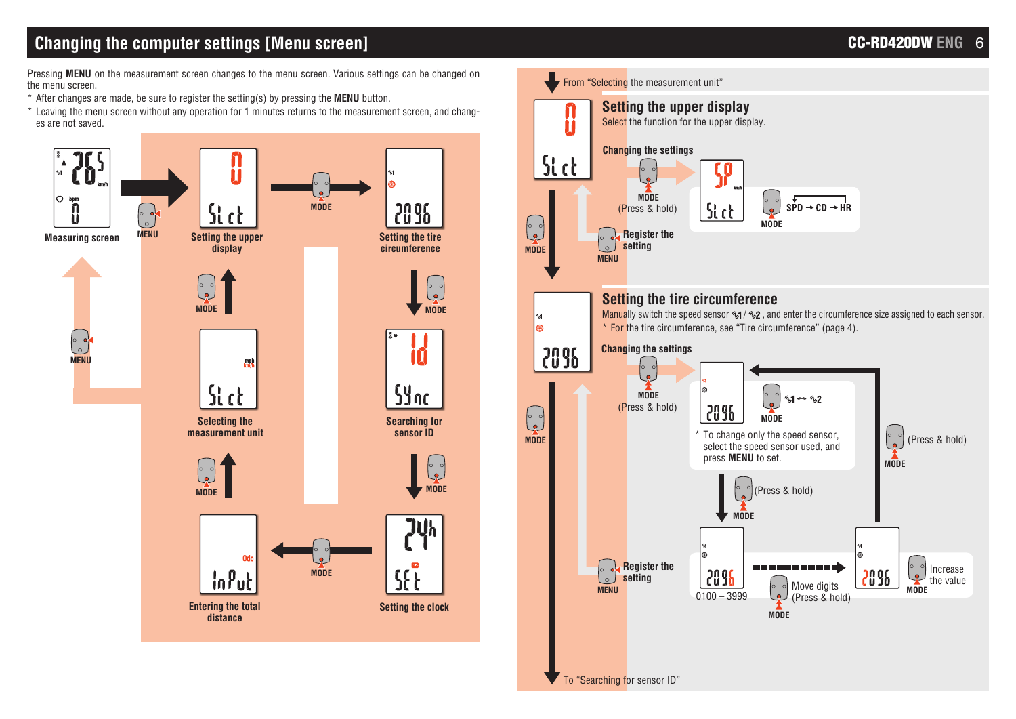## **Changing the computer settings [Menu screen] CC-RD420DW ENG** 6

Pressing **MENU** on the measurement screen changes to the menu screen. Various settings can be changed on the menu screen.

- \* After changes are made, be sure to register the setting(s) by pressing the **MENU** button.
- \* Leaving the menu screen without any operation for 1 minutes returns to the measurement screen, and changes are not saved.



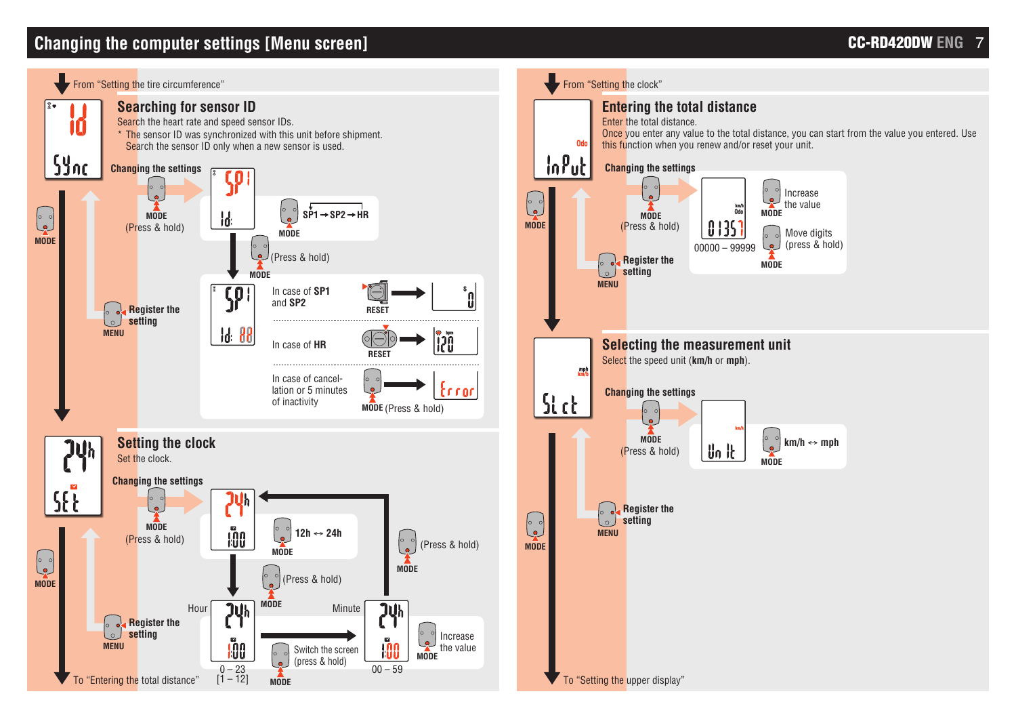## **Changing the computer settings [Menu screen]**

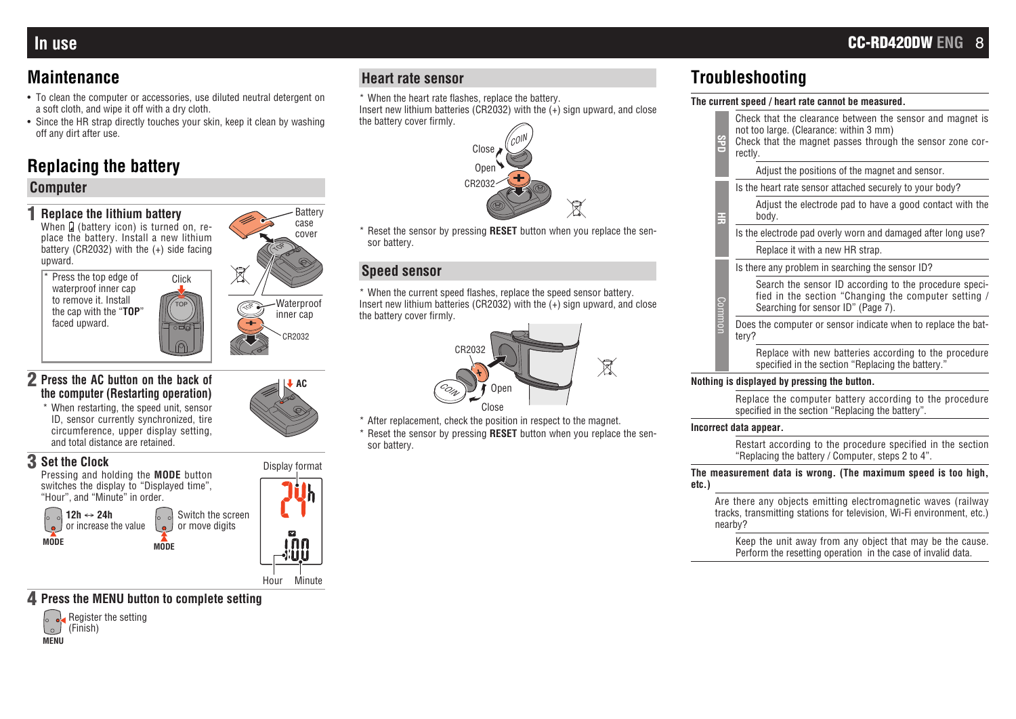## **Maintenance**

- To clean the computer or accessories, use diluted neutral detergent on a soft cloth, and wipe it off with a dry cloth.
- Since the HR strap directly touches your skin, keep it clean by washing off any dirt after use.

## **Replacing the battery**

### **Computer**

1 **Replace the lithium battery** When  $\Omega$  (battery icon) is turned on, replace the battery. Install a new lithium battery (CR2032) with the (+) side facing  $\sim$ upward.  $\boxtimes$ Press the top edge of Click waterproof inner cap to remove it. Install TOP the cap with the "**TOP**" TOP faced upward. CR2032



### 2 **Press the AC button on the back of the computer (Restarting operation)**

\* When restarting, the speed unit, sensor ID, sensor currently synchronized, tire circumference, upper display setting, and total distance are retained.



### 4 **Press the MENU button to complete setting**



### **Heart rate sensor**

- \* When the heart rate flashes, replace the battery.
- Insert new lithium batteries (CR2032) with the  $(+)$  sign upward, and close the battery cover firmly.



\* Reset the sensor by pressing **RESET** button when you replace the sensor battery.

### **Speed sensor**

\* When the current speed flashes, replace the speed sensor battery. Insert new lithium batteries (CR2032) with the  $(+)$  sign upward, and close the battery cover firmly.



\* After replacement, check the position in respect to the magnet. \* Reset the sensor by pressing **RESET** button when you replace the sensor battery.

## **Troubleshooting**

#### **The current speed / heart rate cannot be measured.**

| SPID   | Check that the clearance between the sensor and magnet is<br>not too large. (Clearance: within 3 mm)<br>Check that the magnet passes through the sensor zone cor-<br>rectly. |
|--------|------------------------------------------------------------------------------------------------------------------------------------------------------------------------------|
|        | Adjust the positions of the magnet and sensor.                                                                                                                               |
| 풓      | Is the heart rate sensor attached securely to your body?                                                                                                                     |
|        | Adjust the electrode pad to have a good contact with the<br>body.                                                                                                            |
|        | Is the electrode pad overly worn and damaged after long use?                                                                                                                 |
|        | Replace it with a new HR strap.                                                                                                                                              |
| Commor | Is there any problem in searching the sensor ID?                                                                                                                             |
|        | Search the sensor ID according to the procedure speci-<br>fied in the section "Changing the computer setting /<br>Searching for sensor ID" (Page 7).                         |
|        | Does the computer or sensor indicate when to replace the bat-<br>tery?                                                                                                       |
|        | Replace with new batteries according to the procedure<br>specified in the section "Replacing the battery."                                                                   |

#### **Nothing is displayed by pressing the button.**

Replace the computer battery according to the procedure specified in the section "Replacing the battery".

#### **Incorrect data appear.**

Restart according to the procedure specified in the section "Replacing the battery / Computer, steps 2 to 4".

#### **The measurement data is wrong. (The maximum speed is too high, etc.)**

Are there any objects emitting electromagnetic waves (railway tracks, transmitting stations for television, Wi-Fi environment, etc.) nearby?

Keep the unit away from any object that may be the cause. Perform the resetting operation in the case of invalid data.